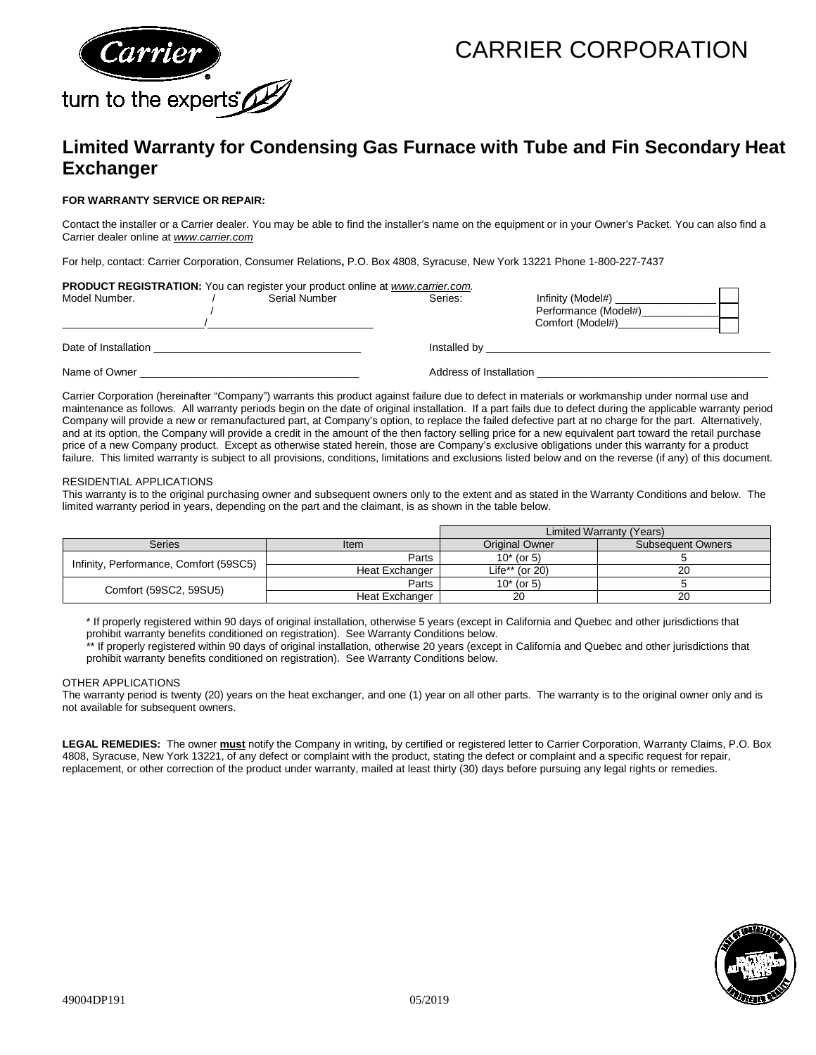

## CARRIER CORPORATION

### **Limited Warranty for Condensing Gas Furnace with Tube and Fin Secondary Heat Exchanger**

#### **FOR WARRANTY SERVICE OR REPAIR:**

Contact the installer or a Carrier dealer. You may be able to find the installer's name on the equipment or in your Owner's Packet. You can also find a Carrier dealer online at *[www.carrier.com](http://www.carrier.com/)*

For help, contact: Carrier Corporation, Consumer Relations**,** P.O. Box 4808, Syracuse, New York 13221 Phone 1-800-227-7437

| PRODUCT REGISTRATION: You can register your product online at www.carrier.com. |               |                         |                                                               |  |
|--------------------------------------------------------------------------------|---------------|-------------------------|---------------------------------------------------------------|--|
| Model Number.                                                                  | Serial Number | Series:                 | Infinity (Model#)<br>Performance (Model#)<br>Comfort (Model#) |  |
| Date of Installation                                                           |               | Installed by            |                                                               |  |
| Name of Owner                                                                  |               | Address of Installation |                                                               |  |

Carrier Corporation (hereinafter "Company") warrants this product against failure due to defect in materials or workmanship under normal use and maintenance as follows. All warranty periods begin on the date of original installation. If a part fails due to defect during the applicable warranty period Company will provide a new or remanufactured part, at Company's option, to replace the failed defective part at no charge for the part. Alternatively, and at its option, the Company will provide a credit in the amount of the then factory selling price for a new equivalent part toward the retail purchase price of a new Company product. Except as otherwise stated herein, those are Company's exclusive obligations under this warranty for a product failure. This limited warranty is subject to all provisions, conditions, limitations and exclusions listed below and on the reverse (if any) of this document.

#### RESIDENTIAL APPLICATIONS

This warranty is to the original purchasing owner and subsequent owners only to the extent and as stated in the Warranty Conditions and below. The limited warranty period in years, depending on the part and the claimant, is as shown in the table below.

|                                        |                | Limited Warranty (Years) |                          |  |
|----------------------------------------|----------------|--------------------------|--------------------------|--|
| Series                                 | Item           | <b>Original Owner</b>    | <b>Subsequent Owners</b> |  |
| Infinity, Performance, Comfort (59SC5) | Parts          | $10*$ (or 5)             |                          |  |
|                                        | Heat Exchanger | Life** (or $20$ )        | 20                       |  |
| Comfort (59SC2, 59SU5)                 | Parts          | $10*$ (or 5)             |                          |  |
|                                        | Heat Exchanger | 20                       | 20                       |  |

\* If properly registered within 90 days of original installation, otherwise 5 years (except in California and Quebec and other jurisdictions that prohibit warranty benefits conditioned on registration). See Warranty Conditions below.

\*\* If properly registered within 90 days of original installation, otherwise 20 years (except in California and Quebec and other jurisdictions that prohibit warranty benefits conditioned on registration). See Warranty Conditions below.

#### OTHER APPLICATIONS

The warranty period is twenty (20) years on the heat exchanger, and one (1) year on all other parts. The warranty is to the original owner only and is not available for subsequent owners.

**LEGAL REMEDIES:** The owner **must** notify the Company in writing, by certified or registered letter to Carrier Corporation, Warranty Claims, P.O. Box 4808, Syracuse, New York 13221, of any defect or complaint with the product, stating the defect or complaint and a specific request for repair, replacement, or other correction of the product under warranty, mailed at least thirty (30) days before pursuing any legal rights or remedies.